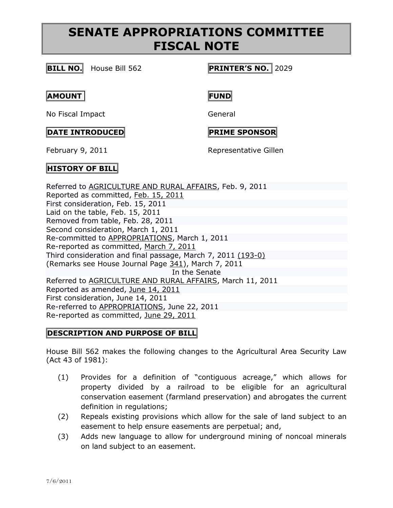# **SENATE APPROPRIATIONS COMMITTEE FISCAL NOTE**

## **BILL NO.** House Bill 562 **PRINTER'S NO.** 2029

### **AMOUNT FUND**

No Fiscal Impact General

# **DATE INTRODUCED PRIME SPONSOR**

February 9, 2011 **Representative Gillen** 

# **HISTORY OF BILL**

Referred to [AGRICULTURE AND RURAL AFFAIRS,](http://www.legis.state.pa.us/cfdocs/cteeInfo/cteeInfo.cfm?cde=2&body=H) Feb. 9, 2011 Reported as committed, Feb. 15, [2011](http://ldpc6.legis.state.pa.us/cfdocs/legis/RCC/PUBLIC/listVotes.cfm?sYear=2011&sInd=0&chamber=H&cteeCde=2&nbr=562&bBody=H&type=B&theDate=02/15/2011) First consideration, Feb. 15, 2011 Laid on the table, Feb. 15, 2011 Removed from table, Feb. 28, 2011 Second consideration, March 1, 2011 Re-committed to [APPROPRIATIONS,](http://www.legis.state.pa.us/cfdocs/cteeInfo/cteeInfo.cfm?cde=4&body=H) March 1, 2011 Re-reported as committed, [March](http://ldpc6.legis.state.pa.us/cfdocs/legis/RCC/PUBLIC/listVotes.cfm?sYear=2011&sInd=0&chamber=H&cteeCde=4&nbr=562&bBody=H&type=B&theDate=03/07/2011) 7, 2011 Third consideration and final passage, March 7, 2011 [\(193-0\)](http://ldpc6.legis.state.pa.us/CFDOCS/Legis/RC/Public/rc_view_action1.cfm?sess_yr=2011&sess_ind=0&rc_body=H&bill_body=H&bill_type=B&bill_nbr=562&rc_dte=03/07/2011) (Remarks see House Journal Page [341\)](http://ldpc6.legis.state.pa.us/WU01/LI/HJ/2011/0/20110307.pdf#page=23), March 7, 2011 In the Senate Referred to [AGRICULTURE AND RURAL AFFAIRS,](http://www.legis.state.pa.us/cfdocs/cteeInfo/cteeInfo.cfm?cde=27&body=S) March 11, 2011 Reported as amended, June 14, [2011](http://ldpc6.legis.state.pa.us/cfdocs/legis/RCC/PUBLIC/listVotes.cfm?sYear=2011&sInd=0&chamber=S&cteeCde=27&nbr=562&bBody=H&type=B&theDate=06/14/2011) First consideration, June 14, 2011 Re-referred to [APPROPRIATIONS,](http://www.legis.state.pa.us/cfdocs/cteeInfo/cteeInfo.cfm?cde=3&body=S) June 22, 2011 Re-reported as committed, June 29, [2011](http://ldpc6.legis.state.pa.us/cfdocs/legis/RCC/PUBLIC/listVotes.cfm?sYear=2011&sInd=0&chamber=S&cteeCde=3&nbr=562&bBody=H&type=B&theDate=06/29/2011)

## **DESCRIPTION AND PURPOSE OF BILL**

House Bill 562 makes the following changes to the Agricultural Area Security Law (Act 43 of 1981):

- (1) Provides for a definition of "contiguous acreage," which allows for property divided by a railroad to be eligible for an agricultural conservation easement (farmland preservation) and abrogates the current definition in regulations;
- (2) Repeals existing provisions which allow for the sale of land subject to an easement to help ensure easements are perpetual; and,
- (3) Adds new language to allow for underground mining of noncoal minerals on land subject to an easement.